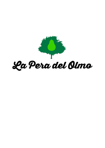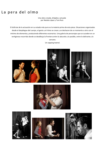# La pera del olmo

Una obra creada, dirigida y actuada por Natalia López y Toni Ruiz

El disfrute de la actuación en su estado más puro es la materia prima de esta pieza. Situaciones organizadas desde el despliegue del cuerpo, el gesto y el ritmo se crean y se deshacen de un momento a otro con el mínimo de elementos, produciendo diferentes escenarios. Una galería de personajes que se suceden en un vertiginoso recorrido donde se desdibuja la frontera entre lo absurdo y lo posible, entre lo delirante y lo cercano.

Un zapping teatral.





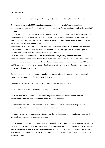#### **QUIENES SOMOS**

Somos Natalia López (Argentina) y Toni Ruiz (España): actores, directores, teatristas, docentes.

Trabajamos juntos desde 2005, cuando estrenamos en Buenos Aires Solos, espectáculo de unipersonales dirigido por Alejandro Catalán que realizó cinco años de funciones en el medio teatral off porteño.

Con este mismo director creamos *Amar*, estrenada en 2010, obra que participó de la Fiesta del Teatro de la Ciudad de Buenos Aires, en la Muestra Internacional de Teatro de Brasilia, del 43º Festival de Teatro de Londrina (Brasil), del 18º Festival Internacional "Em cena" de Porto Alegre (Brasil) y del VIII Festival Internacional de Buenos Aires.

También en 2010, en Madrid, generamos juntos el Ciclo Noches de Teatro Despojado, que permaneció en cartel durante tres años: un espacio abierto donde cada noche se presentaron diversas piezas teatrales con actores y actrices residentes en la capital española.

Ese mismo año, Toni Ruiz incursiona en el mundo del cine dirigiendo y creando mediante improvisaciones el largometraje **Buenos Aires cuatropuntocinco**, junto a un grupo de actores y actrices argentinos entre los que se encuentra Natalia López. En su participación en la ZonaZine del 14º Festival de Málaga es premiada con tres biznagas de plata: mejor dirección, mejor actuación coral masculina y mejor actuación coral femenina.

Del buen entendimiento en la creación y del compartir una búsqueda estética en común, surgen las ganas de formar una compañía: LA PERA DEL OLMO.

Queríamos investigar y desarrollar nuestra propia producción teatral basada en:

- la primacía de la actuación como forma y lenguaje de creación.

- la escasez de recursos técnicos como forma de generar autonomía y movilidad en nuestras producciones. Nuestras obras tenían que poder viajar con nosotros.

- La calidad artística no debía ir en desmedro de la posibilidad de que nuestros trabajos fuesen accesibles al público no teatral, pudiendo generar identificación.

- el placer. Al ser a la vez un proyecto artístico y familiar, el disfrute de lo que estábamos haciendo debía ser condición estructural de nuestras creaciones.

De este ímpetu y con este espíritu nace nuestra compañía con *Escenas de teatro despojado* (2010), y La pera del olmo (2011). En 2012 nos trasladamos a Madrid donde nos reincorporamos al ciclo Noches de Teatro Despojado, y reestrenamos La pera del olmo. En 2013, junto con un reducio grupo de actores y actrices estrenamos Ana se lamenta, fragmentos de ficción, que realiza funciones actualmente en La Bagatela, Madrid.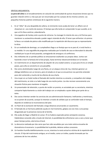#### SÍNTESIS ARGUMENTAL

La pera del olmo es el encadenamiento sin solución de continuidad de quince situaciones breves que no guardan relación entre sí, más que por ser encarnadas por los cuerpos de los mismos actores. Las pequeñas historias podrían sintetizase de la siguiente manera.

- 1. En el "after" de una despedida de soltera, la inminente novia acaba de tener un affaire con el showman en una noche de excesos. El tiempo que ella tarda en comprender lo que sucedió, es lo que a él le lleva vestirse y abandonarla.
- 2. Una jugadora de hockey está a punto de retirarse. Su manager le miente de una y mil formas para mantener su autoestima elevada y poder seguir viviendo de ella. El tener que enfrentar a la prensa la lleva a un estado de pánico sólo modificado por la repetición del discurso que su representante le dicta.
- 3. En un mediodía de domingo, un cumpleañero llega a un festejo que no es para él, ni está hecho a su medida. En una seguidilla de preguntas realizadas por la dueña de casa se desnudará la absurda realidad por la que él está pasando, contagiando de amargura a la anfitriona.
- 4. Dos militantes de un partido político se entusiasman exaltando sus propias ideas. Juntos van haciendo crecer la fantasía de la lista propia, hasta terminar desencontrándose en la traición.
- 5. Un matrimonio en un departamento de alquiler de una ciudad costera. Lo que para él era un simple paseo, para ella se convierte en una pesadilla.
- Dos seres alcoholizados luego de una fiesta, en un ataque cínico de risa, intentan generar un 6. diálogo telefónico con un tercero, pero el estado en el que se encuentran nos permite entender poco del contenido y mucho de los efectos de esa charla.
- 7. Una mujer en un hotel recibe el llamado del marido mientras su amante, y compañero de trabajo del matrimonio, se viste a su lado luego de una noche juntos. Los dos recrean sonoramente una situación ficticia para mantener el engaño.
- 8. Un presentador de televisión, a punto de recibir un premio, es acicalado por su secretaria, mientras comparte hipócritamente su visión del trabajo con un empleado a quien debe gran parte de su éxito.
- 9. Dos socios intentan vender los servicios de una administración fantasma. Ineficientes y mentirosos, no se ponen de acuerdo, aunque lo intentan a través de señales que se confunden todo el tiempo, dejando en evidencia la inconsistencia del plan.
- 10. Un flash de la excitación del llamado a larga distancia anunciando un casamiento.
- 11. El llamado de un hermano pidiendo ayuda en mal momento, golpea una vez más a una pareja desgastada por la presencia nociva de la familia.
- 12. Ella acaba de llegar a Madrid sin avisar. Él no hubiera esperado jamás semejante sorpresa. Habiéndose conocido sólo a través de Internet, la posibilidad de enfrentarse cara a cara y tener que pasar tiempo juntos, aterroriza al local.
- 13. La denuncia realizada por dos seres que han sido sacudidos por una mala noticia envuelve de dramatismo el escenario. La posibilidad de la pérdida, detiene ambos corazones.
- 14. Un hombre humilla telefónicamente a su ex, mientras la novia actual es víctima de la repetición del vínculo. El hijo del matrimonio antiguo, en el medio, como un trofeo, queda tironeado por las pulsiones de los tres adultos.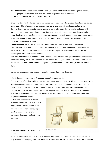# 15. Un niño queda al cuidado de los tíos. Éstos, ignorantes y temerosos de lo que significa la tarea, despliegan pensamientos fatalistas intentando prepararse para el momento.

#### PROPUESTA DRAMATÚRGICA Y PUESTA EN ESCENA

En La pera del olmo los dos actores, como magos, hacen aparecer y desaparecer delante de los ojos del espectador, diferentes personajes, momentos, experiencias, sensaciones, lenguajes teatrales. Como si de un viaje en montaña rusa se tratase la fuerte afirmación de lo presente, de lo que está sucediendo en el aquí y ahora, hace imprevisible para el que mira hacia dónde va a disparar la obra, hasta dónde van a ser satisfechas sus expectativas, cuándo va a venir una curva, una pausa o una bajada en picado, cuándo se va a profundizar sobre una historia o cuándo ésta va a ser arrasada por la ola dinámica que se fue generando.

La pera del olmo invita al espectador a entregarse a un viaje inesperado, en el que como un caleidoscopio, los actores, junto a una silla, un banquito y algunos pocos elementos cambiantes de vestuario, transforman la comedia en drama, el agite en reposo, lo expansivo en contención, un personaje en otro, una situación en otra.

Esta obra no fue escrita ni planificada en su contenido previamente, sino que se fue creando mediante improvisaciones y con la omnipresencia de una cámara de vídeo, que sirvió de registro del material que iba apareciendo como interesante a ser explorado y desarrollado por los actores/directores, Natalia y Toni.

Los puntos de partida desde los que se decidió investigar fueron los siguientes:

#### - Desde la puesta en escena: lo despojado, primacía de la actuación.

Como escenografía y únicos objetos aparecen en escena un cubo y una silla. El cubo y el fuera de escena se utilizan para esconder accesorios que entran y salen completando la imagen de los personajes a crear: un par de zapatos, un jersey, unas gafas, dos teléfonos móviles, una base de maquillaje, un pañuelo, una corbata, una chaqueta, un broche de pelo, un antifaz y un collar de flores. Los objetos aparecen y desaparecen de la vista del público en un abrir y cerrar de ojos y con ellos se acentúa la

magia del cambio de escena. El vestuario compone en la misma dirección. Sobre una base de blanco y negro, los colores que entran en los accesorios recién nombrados juegan estéticamente como manchas agregando dinámica y mutación a las escenas.



- Desde la dramaturgia: crear sin texto previo.

Todas las escenas fueron creadas a partir de improvisaciones. Las situaciones y los personajes surgieron en paralelo con el despliegue de las habilidades expresivas de los actores como consigna. Los momentos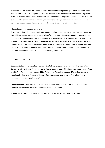rescatados fueron los que poseían un fuerte interés ficcional a la par que generaban una experiencia sensorial atrapante para el espectador. Una vez acumulado suficiente material se comenzó a pensar la "edición". Como si de una película se tratase, las escenas fueron pegándose, enlazándose una tras otra, buscando a la vez una transición posible y un buen contraste, que permitiera al público ser todo el tiempo conducido a pesar de que la historia y los seres virasen en un giro repentino.

- Desde lo narrativo: la miseria humana.

Si bien no partimos de ninguna consigna temática, en el proceso de ensayos se nos fue mostrando un contenido en común que despertó nuestro interés, hablar sobre distintos costados miserables del ser humano. Así, los personajes, bajo el mote irónico de "gente linda", exploran el engaño, la mezquindad, la ambición, el patetismo, la traición, la humillación, los vicios, la violencia, etc. Estos aspectos fueron tratados a través del humor, de manera que el espectador se pudiera identificar con más de uno, pero sin llegar a la parodia, haciéndole sentir que "convive" con ellos. Nuestra intención fue ficcionalizar determinados comportamientos humanos sin emitir juicio sobre ellos.

#### RECORRIDO DE LA OBRA

La pera del olmo fue estrenada en la Asociación Cultural La Bagatela, Madrid, en febrero de 2011. Durante el mismo año, en Argentina, realizó funciones en el teatro Silencio de Negras, de Buenos Aires, en el G.A.E. (Pergamino), en Espacio 44 (La Plata), en el Teatro Brancaleone (Monte Grande), en el estudio del artista Agustín Llanos (Málaga) y fue seleccionada para cerrar el Festival de Teatro Independiente de Esteban Echeverría.

La pera del olmo volvió a la cartelera madrileña el 18 de febrero de 2012, en la nueva sede de La Bagatela, en Lavapiés y realizó funciones hasta junio del mismo año.

En enero de 2013 formó parte de la programación del 30º Festival de Teatro de Málaga.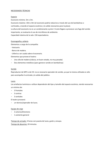# NECESIDADES TÉCNICAS

#### Espacio

Escenario mínimo: 3m x 3m.

Escenario máximo: 10m x 8m (el escenario podría reducirse a través del uso de bambalinas o cortinados, creando el espacio escénico y la salida necesarios para la pieza).

La altura del escenario no es un condicionante a priori. Si esto llegara a provocar una fuga del sonido importante, se evaluaría el uso de micrófonos de ambiente.

Capacidad máxima de la sala: 150 espectadores.

#### Escenografía y utilería

Elementos a cargo de la compañía:

- Vestuario.
- Banco de madera.
- Utilería a ser usada sobre el escenario.

Elementos que provee el teatro:

- Una silla de madera (clásica, en buen estado, no muy pesada)
- Dos elementos metálicos (para generar sonido en bambalinas)

#### Sonido

Reproductor de MP3 o de CD: no es necesario operador de sonido, ya que la música utilizada es sólo para acompañar la entrada y la salida del público.

#### Luces

Los artefactos lumínicos a utilizar dependerán del tipo y tamaño del espacio escénico, siendo necesarios un mínimo de:

- 3 frontales
- $-3$  contras
- 3 cenitales

El teatro proveerá

- un técnico/operador de luces.

#### Equipo de viaje

- 2 actores/directores
- 1 asistente general

Tiempo de armado: 4 horas con puesta de luces, guión y ensayo.

Tiempo de desarme: 20 minutos.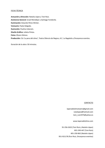# FICHA TÉCNICA

Actuación y Dirección: Natalia López y Toni Ruiz. Asistencia General: Israel Mondéjar y Santiago Fondevila. Iluminación: Eduardo Pérez Winter. Vestuario: Paola Delgado. Ilustración: Paulina Indurain. Diseño Gráfico: Julieta Pintos. Fotos: Álvaro Gómez. Producción: Cía 'La pera del olmo', Teatro Silencio de Negras, A.C. La Bagatela y Onceyonce eventos.

Duración de la obra: 50 minutos.

#### **CONTACTO**

laperadelolmoteatro@gmail.com natalopez@hotmail.com toni\_ruiz1975@yahoo.es

www.laperadelolmo.com

91-256-2632 (Toni Ruiz y Natalia López) 601-249-447 (Toni Ruiz) 601-250-862 (Natalia López) 951-921178 (Puri Ruiz, Onceyonce eventos)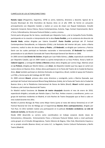#### CURRÍCULOS DE LOS ACTORES/DIRECTORES

Natalia López (Pergamino, Argentina, 1978) es actriz, bailarina, directora y docente. Egresó de la Escuela Municipal de Arte Dramático de Buenos Aires en el año 1999. Se formó en actuación principalmente con Alejandro Catalán y realizó un curso de clown con Raquel Sokolowicz. Estudió Expresión Corporal, Danza Clásica, Danza Contemporánea, Eutonía, Yoga, Contact Improvisación, Barre à Terre, Esferodinamia, Gimnasia Postural Global, y canto y música.

Formó parte del grupo No Se Llama, coordinado por Alejandra Cosín, y de la Compañía Punto Perdido, participando en la creación e interpretación de la obra *Punto Perdido*, y en la asistencia de dirección de Guarda Nada, ambas dirigidas por Valeria Kovadloff. Punto Perdido participó del 2º Festival Contemporáneo Danzalborde, en Valparaíso (Chile) y de festivales del interior del país. Junto a Marta Lantermo, realizó la obra de danza Carne y Piedra, y El Redondel, co-dirigido por Lantermo y Patricia Dorín con las cuales participó en festivales nacionales e internacionales. El Redondel fue también presentada en la sala Martín Coronado del Teatro Municipal General San Martín en 2006.

En 2005 estrenó Los Demás No Existen, dirigida por Juan Pablo Gómez, y Solos, espectáculo coordinado por Alejandro Catalán, que en 2009 realizó su quinta temporada en La Vaca Profana. Actuó y bailó en Cabaret Lagarce, y coreografió Cartas a Moreno ambas obras dirigidas por Lorena Vega. Además actuó en La Prótesis, dirigida por Martín Kahan, y en Amar, de Alejandro Catalán que hoy sigue en cartel con nuevo elenco en Buenos Aires. Ambas obras participaron en la Fiesta del Teatro de la Ciudad de Buenos Aires. Amar también participó en distintos festivales en Argentina y Brasil, recibió el apoyo de Proteatro y el FNA, y formó parte del Catálogo del INT 2010.

En 2009 estrenó *Muaré*, primera obra como directora y coreógrafa, junto a Marina Quesada, que participó del Festival Internacional Bharat Rang Mahotsav (India), de la Fiesta del Teatro de la Ciudad de Buenos Aires y de la Plataforma Internacional de Danza de Bahía (Brasil). Muaré recibió apoyos de Prodanza y del Instituto Nacional del Teatro.

En Madrid realizó funciones de *Escenas de teatro despojado* durante el mes de enero de 2010, espectáculo dirigido y actuado por Natalia López y Toni Ruiz. Ambos crearon y coordinaron, junto a un grupo de teatristas residentes en Madrid, el ciclo Noches de Teatro Despojado que se llevó a cabo en esta ciudad durante tres años.

Recibió el premio Biznaga de Plata como Mejor Actriz (junto al resto del elenco femenino) en el 14º Festival Nacional de Cine de Málaga por el largometraje Buenos Aires cuatropuntocinco, dirigido por Toni Ruiz. En 2011 también realizó una participación en la película Verdades verdaderas. La vida de Estela de Carlotto, de Nicolás Gil Lavedra.

Desde 2002 desarrolla su carrera como coordinadora en trabajo corporal, dando clases de Estiramiento y Alineación, Entrenamiento Físico y Gimnasia Postural Global, tanto a nivel particular como grupal: en el Estudio Almagrodanza, Teatro Silencio de Negras, Vilas Club, Movimiento Esquina y en su propio estudio (Buenos Aires); así como A.C. La Bagatela, Centro Cultural Pachamama y Berlín Teatro (Madrid).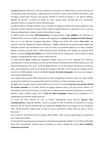Toni Ruiz (Madrid, 1975) Actor, director y docente de actuación. En Madrid inició su carrera de actor en la Compañía Zurdos Contrariados, realizando obras de autores clásicos como Calderón de la Barca, Lope de Vega y Valle-Inclán. Durante este periodo también se formó en Estudio 3, con Agustín Bellusci, además de estudiar y entrenar en teatro en verso, técnica vocal, comedia del arte, movimiento expresivo, técnica 'río abierto' y danza contemporánea.

En julio de 2003 se trasladó a Buenos Aires a estudiar con algunos maestros del teatro argentino como Alejandro Catalán, Augusto Fernandes, Beatriz Spelzini, Raquel Sokolowicz, además de tomar cursos de danza contemporánea y release, contact improvisación y yoga.

En 2004 estrenó dos obras, Metangomorfosis, de danza-teatro y Dos exiliados, con dirección de Guillermo Ghio, con quien volvió a trabajar al año siguiente en Cuando los paisajes de Cartier-Bresson, obra con la cual viajó por Tarragona, Barcelona y Málaga. Ese mismo año estrenó *Para Luisa*, una creación colectiva dirigida por Raquel Sokolowicz, y Solos espectáculo de unipersonales dirigido por Alejandro Catalán, que permaneció cinco años en cartel y se presentó también en La Plata, Córdoba, Rafaela y Rosario. Durante 2007 y 2008 realizó funciones de 42 cm, obra dirigida por Eduardo Pérez Winter y estrenó *El juego del elástico*, en el Centro Cultural de la Cooperación, obra de teatro y danza dirigida y coreografiada por María Ucedo y Mayra Bonard.

En 2010 estrenó Amar, dirigida por Alejandro Catalán, pieza con la cual participó de la Muestra Internacional de Teatro de Brasilia, así como del 43º Festival Internacional de Londrina (Brasil), en el 18º Festival Internacional "Em cena" de Porto Alegre (Brasil) y en el VIII Festival Internacional de Buenos Aires. Este espectáculo contó con el apoyo de Proteatro y del FNA, y formó parte del Catálogo del INT de 2011. En 2010 también estrenó en Madrid Escenas de teatro despojado, obra que creó, dirigió y actuó junto a Natalia López.

Fue miembro del proyecto AEBA (Asociación de Actores Españoles en Buenos Aires) con quien recibió una Mención Especial en los premios María Guerrero 2010 por su labor realizada en ese año.

En 2009 creó y coordinó junto al actor Federico Liss el Ciclo de Teatro Lo que dura una canción. Recital de escenas teatrales, en el teatro Silencio de Negras (Buenos Aires), ciclo que estuvo abierto a la participación de más de 50 actores y actrices de la ciudad durante su primera temporada. En 2010 en Madrid y junto a Natalia López, creó el *Ciclo de Teatro Despojado*. Ambos ciclos cumplieron 4 y 3 temporadas en funciones respectivamente.

En marzo de 2011 estrenó en cine su primer largometraje como director: Buenos Aires cuatropuntocinco. Habiendo también creado y actuado en ésta, la película se estrenó en la sección ZonaZine del 14º Festival Nacional del Cine Español de Málaga. Allí fue premiada con tres Biznaga de Plata: Mejor Dirección, Mejor Actor (a todo el elenco masculino) y Mejor Actriz (a todo el elenco femenino).

Fue co-director del Teatro Silencio de Negras desde 2004 a 2012, proyecto gestionado en cooperativa por un grupo de artistas.

Se desempeñó como docente de actuación en el Estudio de Alejandro Catalán y en La Plata desde 2006 hasta 2012. Actualmente imparte clases en Madrid y es actor y director de la obra *Ang se lamenta*. Fragmentos de ficción.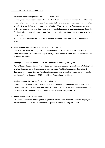#### BREVE RESEÑA DE LOS COLABORADORES

- Eduardo Pérez Winter (iluminación). Buenos Aires, 1978.

Director, actor e iluminador, trabaja desde 2004 en diversos proyectos teatrales y desde diferentes roles. Junto a Toni y junto a un grupo de teatristas de Buenos Aires co-dirige desde hace ocho años el teatro Silencio de Negras. Eduardo dirigió a Toni en 42 cm y en su solo Una mujer de hoy y se invirtieron los roles en el solo Fiebre y en el largometraje Buenos Aires cuatropuntocinco. Eduardo fue iluminador en varias obras en las que Toni y Natalia trabajaron, Muaré, Para Luisa y La prótesis, entre ellas.

Actualmente ensaya como protagonista el segundo largometraje dirigido por Toni a filmarse en 2012.

- Israel Mondéjar (asistencia general en España). Madrid, 1987.

Cineasta. Co-creador en 2010 junto a Toni del largometraje Buenos Aires cuatropuntocinco, se sumó en enero de 2011 a la compañía para éste y futuros proyectos como forma de incursionar en el mundo del teatro.

- Santiago Fondevila (asistencia general en Argentina). La Plata, Argentina, 1987. Actor. Alumno de actuación de Toni en 2008, participó como asistente general junto a Natalia y Toni en Muaré y Amar, antes de sumarse a La pera del olmo. También fue asistente de producción en Buenos Aires cuatropuntocinco. Actualmente ensaya como protagonista el segundo largometraje dirigido por Toni a filmarse en 2012 y co-dirige el Teatro Silencio de Negras.
- Paulina Indurain (ilustraciones). Luján, Argentina, 1977. Ilustradora, fotógrafa y bailarina. Formó parte de la compañía *Punto Perdido*, junto con Natalia trabajando en las obras *Punto Perdido* en el rol de asistente y fotógrafa, y en Guarda Nada en el rol de actriz/bailarina. Además hizo la foto fija de Buenos Aires cuatropuntocinco.
- Álvaro Gómez (fotos). Bilbao, 1979.

Fotógrafo. Colaborador de La Bagatela, al igual que Natalia y Toni. Realiza las fotos de los proyectos de esta Asociación Cultural. De esta forma se generó el vínculo con La pera del olmo.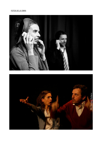# **FOTOS DE LA OBRA**

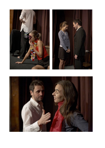

![](_page_12_Picture_1.jpeg)

![](_page_12_Picture_2.jpeg)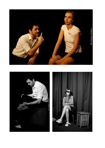![](_page_13_Picture_0.jpeg)

![](_page_13_Picture_1.jpeg)

![](_page_13_Picture_2.jpeg)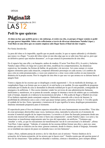CRÍTICAS

![](_page_14_Picture_1.jpeg)

# **Pedí lo que quieras**

**Al olmo no hay que pedirle peras y sin embargo, si existe esa cita, es porque el lugar común es pedir eso que parece imposible. Sobre esto reflexionan a través de diversas situaciones Natalia López y Toni Ruiz en una obra que en cuanto empieza sabe llegar hasta el final sin dar respiro.**

Por Sonia Jaroslavsky

La pera del olmo es lo imposible, aquello que no puede suceder, lo que se espera sabiendo (y olvidando) que nunca va a llegar. "La pera del olmo reúne en una idea algo que no se sabe muy bien qué es, pero que en definitiva parece que muchos deseamos", es lo que enuncia la presentación de esta obra.

En el espacio hay una silla y un banquito, ambos de madera. El actor Toni Ruiz (El) y la actriz y bailarina Natalia López (Ella) a lo largo de La pera del olmo, modifican los comportamientos, las dinámicas expresivas, las tonadas, las formas de hablar, de gesticular y de moverse. Así como suman y/o restan algunos elementos para cada situación, componen diferentes personajes en cada escena. Los cambios de una a otra no están preanunciados, a veces son sorpresivos y otras veces están ocultos en una transición dinámica de la propia escena. Pero lo singular de esta obra es que una vez que arranca no se detiene hasta el apagón final.

Vamos a alguna de las escenas que se despliegan a modo argumental: 1. En un mediodía de domingo, un cumpleañero llega a un festejo que no es para él, ni está hecho a su medida. En una seguidilla de preguntas realizadas por la dueña de casa se desnudará la absurda realidad por la que él está pasando, contagiando de amargura a la anfitriona. 2. Dos socios intentan vender los servicios de una administración fantasma. Ineficientes y mentirosos, no se ponen de acuerdo, aunque lo intentan a través de señales que se confunden todo el tiempo, dejando en evidencia la inconsistencia del plan. 3. Ella acaba de llegar a Madrid sin avisar. El no hubiera esperado jamás semejante sorpresa. Habiéndose conocido sólo a través de Internet, la posibilidad de enfrentarse cara a cara y tener que pasar tiempo juntos, aterroriza al local. 4. Un niño queda al cuidado de los tíos. Estos, ignorantes y temerosos de lo que significa la tarea, despliegan pensamientos fatalistas intentando prepararse para el momento.

El espectáculo pone el foco en distintos aspectos miserables de seres humanamente reconocibles. "Esta idea de crear personajes aborrecibles unas veces, lastimosos otras, tamizaba la selección en el momento de recortar el material surgido de las improvisaciones. La tensión o el ritmo fue buscado justamente desde una noción más musical del armado, tal como si fuera una composición", cuenta Natalia López. Los seres y las situaciones se transforman mágicamente ante los ojos del espectador, sin artificios. "Teníamos que 'enseñar' a verla, ya que los mecanismos de transformación van de lo convencional a lo delirante", afirma Toni Ruiz. López agrega: "Además, el conjunto de las escenas debían formar una obra y, para eso, unas tenían que estar en relación con las otras: generar contraste, desde lo rítmico, desde el lenguaje, formando en su totalidad una especie de paseo en montaña rusa o en tren fantasma".

López y Ruiz, radiante pareja de actores y de la vida dicen casi al unísono: "Somos fanáticos de la actuación, de la buena actuación, de los actores que te hacen creer". Natalia cuenta que ahí querían poner el foco de las situaciones: "Que podían ser absurdas o realistas, cómicas o dramáticas, pero siempre debían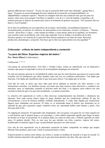generar adhesión por creencia". "Es por eso que la actuación debe estar muy afirmada", agrega Ruiz y sigue: "la puesta en escena despojada favorece además de la actuación su transportabilidad y su adaptabilidad a cualquier espacio". Hacerla en cualquier lado fue una condición sine qua non para los actores, entre otras cosas porque Toni Ruiz es español, y eso de ir y venir de España a Argentina o de realizar giras por el interior de nuestro país estuvo al momento de generar esta pieza. "Nos quisimos dar ese placer y esa liviandad."

En la obra los problemas no son específicos de la mujer o del hombre, son problemas humanos: la incomunicación, la traición, la violencia, los desacuerdos en las relaciones, el éxito o el fracaso... "Nuestro vínculo –dicen Ruiz y López–, como equipo de trabajo y como pareja, parte de la equidad y no incorpora esta cuestión como un problema, sino como algo superado. Esto se tradujo a la temática de la obra. Nuestros aportes a la creación de La pera del olmo fueron equitativos en todas las áreas: dirección, producción, dramaturgia y actuación. Esto hace que la obra sea representativa de esta igualdad."\*

# **Criticunder - críticas de teatro independiente y comercial -**

# **"La pera del Olmo: Expertos viajeros del teatro."**

**Por: María Milessi** (Colaboradora)

# Calificación: \* \* \* \*

Una pareja de actores/directores, Toni Ruiz y Natalia López, monta un espectáculo con un dispositivo escénico que pasea al espectador a través de un desopilante despliegue de actuación.

No sólo nos permite apreciar la versatilidad de ambos sino que las mini historias que ponen en escena están resueltas con tal inteligencia que abren mundos cada cual con sus conflictos particulares. Una dupla que funciona. Una dupla que manifiesta todo lo que tiene para ofrecer. Una dupla que se las trae.

Cual dúo de rock, lo único que hace falta para llevar adelante la función son ellos mismos y sus instrumentos actorales. Las distintas escenas son tracks que ellos mismos como directores y creadores nos muestran: unos ya empezados, pasando al próximo antes del final, y en algunos casos todavía nos está cayendo la ficha de qué es lo que está sucediendo, y ya pasan al próximo.

Lo atractivo del espectáculo es verlos a ellos atravesar comportamientos tan disímiles y dinámicas tan opuestas. Para cada escena tienen reglas de juego distintas que los condicionan, además de que las circunstancias a nivel de historia también cambian radicalmente. Y todas ellas ligadas por transiciones fugaces pero trabajadas con proceso. El ritmo se va acelerando hasta el delirio, por momentos no se entiende de qué, pero queremos seguir viéndolos reírse así, intentando hablar entre dientes y gritos. Una obra que pide el bis.

Un zapping de actuación. El espectador sale imaginando, sale con ganas: con ganas de ver cómo seguiría tal o cual historia, qué le pasaría luego a ese personaje, o cómo habría empezado aquello para llegar al punto de tensión en el que se encuentran. Si se pudiera dejar ese canal un ratito más, o haberlo agarrado un ratito antes. Si pudiera decidir. Pero en este caso los que deciden son ellos, expertos viajeros del teatro, modificando el material según lo que van percibiendo que pasa con cada escena.

Uno sale de este espectáculo con la placentera sensación de haber compartido un trabajo que inspira libertad. Para producir, para crear. Cómo la actuación basta y sobra.

Expresivamente se estiran como atletas, sus rostros y cuerpo se moldean de acuerdo a lo que les sucede. Es insólito intentar transmitir todo aquello por lo que atraviesan durante esta obra. Hay que estar ahí.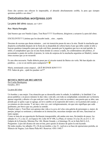Estos dos actores nos ofrecen lo impensable, el absurdo absolutamente creíble, la pera que siempre quisimos pedirle a un olmo.\*

# Detodoslosdias.wordpress.com

La pera del olmo *Sábado, oct 1 2011*

# **Por: Maria Petraglia**

Qué buenos que son Natalia López, Toni Ruiz!!!!!!!! Escribieron, dirigieron y actuaron La pera del olmo.

EXCELENTE!!!! Lástima que los descubrí tarde…sino…repetía.

Docenas de escenas que duran minutos…casi sin transición pasan de una a la otra. Desde la muchacha que despierta confundida después de la fiesta de su despedida de soltera hasta el par que debe cuidar al niño y buscan quedarse tranquilos para que todo esté bien, pasando por la jugadora que tuvo un mal partido, la infiel, el cumpleañero que cae en una fiesta donde no conoce a nadie, los colaboradores del político, el presentador a punto de recibir el premio, la visita de sorpresa de la muchacha argentina en Madrid y tantas otras escenas que ya no recuerdo.

Es una obra necesaria. Nadie debería pasar por el circuito teatral de Baires sin verla. Me han dejado sin palabras...y eso es un mérito para cualquiera!!!

María, terminando como empecé…QUÉ BUENOS SON!!!!!!!! P/D. Salen de gira…ojalá los puedan ver!!\*

# **REVISTA MONTAJE DECADENTE**

Por Lucho Bordegaray Octubre, 2011

# La pera del olmo

Un hombre y una mujer. Una situación que se desarrolla entre lo soñado, lo indebido y la fatalidad. Con pocas palabras y en pocos minutos le dan vida y está ahí, con toda su complejidad, sostenido por su historia apenas sugerida y abierto a lo que está por venir. Pero lo por venir no acontece: una puerta que se abre, una prenda que se quita o que se agrega, un leve cambio en la expresión del rostro y en la postura del cuerpo, y ya estamos en otra escena. Y así una y otra vez, casi vertiginosamente, sin que esto signifique que cada grafmento, por breve que sea, pierda su sentido.

Natalia López y Toni Ruiz son quienes dan vida a *La pera del olmo* esta galería de personajes o, mejor, de parejas, porque se sostienen y entienden en la interacción, necesitan siempre uno del otro, funcionan en tanto equipo.

Como se trata de un espectáculo fácilmente transportable, ahí andan este mes, llevándolo de paseo: los sábados 8 y 15, a las 23, en Espacio 44, Calle 44 Nº 496, La Plata; el viernes 14 a las 20, en el C.C. El Galpón de la Estación, Máximo Paz 146, Monte Grande; y el domingo 30, en la Sala Del G.A.E, Pergamino. Lejos del alcance de esta revista, pero quizás al alcance de quien la está leyendo. De todos modos, los sábados 19 y 26 de noviembre, a las 21, vuelven a su base de operaciones porteña, en Silencio de Negras, Luis Sáenz Peña 663. Reservas: 4381-1445.\*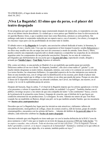# **¡Viva La Bagatela!: El olmo que da peras, o el placer del teatro despojado**

Si me preguntas por qué está ciudad me sigue enamorando después de tantos años, te respondería con una cita en mi último rincón descubierto. Es verdad que a veces parece que Madrid no tiene la efervescencia de mi querida Buenos Aires, o que si pudiera tener mar como Barcelona, entonces ya sería perfecta. Sin embargo cada tanto te sorprendes seducida por un espacio nuevo, con el encanto y los olores y la magia de los rincones viejos pero con las posibilidades de inventar todo lo inédito.

El sábado estuve en **La Bagatela** de Lavapiés, una asociación cultural dedicada al teatro, la literatura, la fotografía, el cine y mucho más. Creo que me conquistaron ni bien traspasé la puerta: sonaba Babasónicos y un chico muy amable nos dio un naipe (me tocó de corazones) a modo de entrada. Entre flores y libros, puedes comerte una empanada exquisita (ahí es donde empiezas a comprobar tus sospechas de un elemento argentino entre los componentes de tan particular asociación). Después, los no más de veinticinco privilegiados que disfrutaríamos de esa joyita que es *La pera del olmo*, espectáculo creado, dirigido y actuado por **Natalia López** y **Toni Ruiz,** bajamos al subsuelo.

Ella -como servidora- es una porteña en Madrid; él es un madrileño que podría pasar por porteño. Deliciosos ambos (él me tuvo desde "la chaqueta, bombón"; ella clava como nadie el "¡pucha!"), con mucho talento desgranan su teatro íntimo, despojado, mínimo, casi como si te contaran un secreto al oído. Los textos lúcidos, las situaciones brillantes y la capacidad expresiva de los dos intérpretes nos meten de lleno en una montaña rusa, con el vértigo ante la identificación en las escenas, pero desde el placer más puro ante el juego teatral que te obliga a creer incluso en un olmo que pueda dar peras. Porque en esta obra el deseo de lo imposible (re)contruye ese absurdo cotidiano, tan Carver, tan Sallinger, tan nuestro, en el cuerpo y la voz de la espléndida pareja de actores.

Después del huracán, llega la calma. Y el ritual de la Bagatela impone que los artistas agradezcan e inviten a los presentes a valorar el espectáculo: entrada (salida, en realidad) "a la gorra". También charlan con el público; investigo un poco y me entero de que esta compañía de teatro "a dos continentes" busca, a través de la primacía de la actuación como forma y lenguaje de creación, que el disfrute de lo que hacen sea condición estructural de sus producciones. Lo consiguen. Se nota. Además me entero de que Toni Ruiz (cuando fue un madrileño en Baires), dirigió una peli -en la que también actuaba Natalia- que me encantaría ver: *buenos aires cuatropuntocinco*.

Descubro que en La Bagatela hay lugar para las iniciativas más atractivas y delirantes: talleres de encuadernamiento, monográficos de collage, clases de costura creativa, club de lectura, grupo de estudio cinematográfico, encuentros con los artistas del barrio… Además del doblete de *La pera del olmo* de los sábados, cada miércoles celebran las *Noches de teatro despojado*.

Entonces entiendo que esta Bagatela no tiene nada que ver con la insulsa definición de la RAE ("cosa de poca sustancia o valor") sino que se inspira en un texto de *Sonata de invierno* (1905) de Valle-Inclán: "*Yo no aspiro a enseñar, sino a divertir. Toda mi doctrina está en una sola frase: ¡Viva la bagatela! Para mí, haber aprendido a sonreír, es la mayor conquista de la humanidad*". Sustancia y sonrisas es lo que sobra en este rincón de Lavapiés que algún día, si te animás, también podría ser tuyo.\*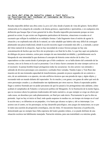#### La Pera del Olmo de Natalia López y Toni Ruiz La fascinación del rechazo al concepto de historia (Por Davide Carnevali)

Resulta imposible definir una obra como *La pera del olmo* desde el punto de vista del género. Sería difícil enmarcarla en la categoría de comedia o de drama grotesco, superrealista o iperrealista, o en cualquiera otra definición que busque fijar el tono general de la obra. Resulta imposible precisamente porque un tono general no existe; lo que existe son fragmentos particulares de historias, situaciones evocadas en el escenario que reflejan la realidad en su múltiples formas. Cada fragmento tiene el mérito de agotar la situación y no explotarla más allá de lo natural, un valor añadido que habría sido muy difícil de conseguir planteando una pieza tradicional, donde la acción necesita seguir avanzando más allá -y, a menudo, a pesardel ritmo natural de la situación. Aquí no hay necesidad de avance forzoso porque no hay una concatenación de hechos que nos lleve de un principio a un final de la obra. Lo que hay aquí son pedacitos de diálogos de pocos minutos, cortos pero siempre de una intensidad envidiable; y probablemente sea la búsqueda de esta intensidad la que destrona el concepto de historia como núcleo de la obra. Los espectadores se dan cuenta desde el principio que el hilo conductor no se halla dentro del contenido de las escenas, sino en la forma en la cual se presentan. Con el único factor constante de estar siempre activos en el escenario -la pareja hombre/mujer protagoniza todas las secuencias- los dos actores van entrando y saliendo de diversos personajes con caracteres y actitudes bien variadas. Natalia López y Toni Ruiz dan muestra así de una tremenda capacidad de transformismo, pasando en pocos segundos de un contexto a otro, de un sentimiento a su opuesto, sin más artificios técnicos que una prenda de ropa y algún objeto, y recreando todo un mundo delante del espectador. Se ríe mucho y con ganas; con ganas de saber qué será de estos personajes creados y ya abandonados tan rápidamente por otros nuevos. Hasta el espectador podría llegar a sentirse frustrado por no poder percatarse de qué les pasará a los protagonistas más adelante, cómo acabará el cumpleaños de Fulanito o el proyecto político de Menganito. Es la frustración de la mente lógica, que no reconoce ahora los patrones tradicionales del teatro narrativo, en que siempre se exige un efecto por cada causa, un desenlace por cada planteamiento, un final por cada inicio. Precisamente lo que la obra no pretende. Aquí no hay ni inicio ni final, todo queda suspenso in medias res, un tiempo sin tiempo en el cual la acción nace y se difumina en un parpadeo, vive hasta que alcance su ápice y ahí se interrumpe. Los actores son el centro, no los personajes; no hay desarrollo psicológico, sino juegos de mutaciones; no es por lo tanto una cuestión de progresión cronológica, sino de ritmo. El mecanismo funciona a la perfección, demostrando que no siempre hace falta esperarse del teatro grandes relatos, si se puede disfrutar de una situación escénica tan hábilmente manejada. Narración mínima, para una teatralidad a su máximo grado.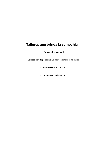# Talleres que brinda la compañía

- Entrenamiento Actoral
- Composición de personaje: un acercamiento a la actuación
	- Gimnasia Postural Global
	- Estiramiento y Alineación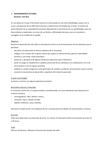# 1. ENTRENAMIENTO ACTORAL

# **Docente: Toni Ruiz**

En una época en la que la formación actoral no está basada en una sola metodología y pasa a ser la suma y apropiación de las diferentes técnicas y experiencias transitadas por el actor, el camino de profundización de su capacidad de actuación depende del conocimiento de sus posibilidades, para ser desarrolladas y explotadas, así como de sus límites y dificultades técnicas, para ser asumidos y corregidos en la medida de lo posible.

# Objetivos

Durante el desarrollo de este taller se introducirá al actor en el entrenamiento de herramientas que le permitan:

- descubrir y/o desarrollar la lectura subjetiva de su actuación,
- indagar en la creación de un gesto actoral que supere la representación, genere materialidad escénica y, por ende, relato dramático,
- potenciar y apropiarse de algunas dinámicas expresivas que lo favorecen,
- poner en juego su malabarismo o poética actoral de forma individual y en combinación con el de otros actores y con el espacio escénico,
- explotar su campo imaginario como generador de sentido y productor de asociación visual y sonora,
- encontrar mecanismos de desarrollo y repetición del material aparecido.

# A quién está dirigido

A actores y actrices con alguna experiencia escénica.

# Necesidad espacial y materiales

Es necesario contar con un espacio amplio y acondicionado, así como elementos que favorezcan la creación escénica:

- escenográficos: sillas, sillones, mesas...,
- vestuario: ropa y calzado variado,
- objetos: teléfonos, vasos, botellas...

Asimismo es ideal contar con artefactos de luz y consola para los trabajos de improvisación y escenas.

# Duración

Cada clase debe tener una duración de entre 3 y 4 horas. El seminario tendrá una duración de entre 12 y 18 horas.

# Cupo

Mínimo 10 alumnos. Máximo en función del tamaño del salón.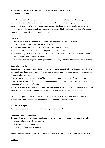# 2. COMPOSICIÓN DE PERSONAJE: UN ACERCAMIENTO A LA ACTUACIÓN

# **Docente: Toni Ruiz**

Este taller está pensado para producir un acercamiento al mundo de la actuación teatral a personas sin experiencia escénica. Para ello trabajaremos sobre una de las herramientas que permiten al alumno generar el distanciamiento de sí mismo necesario para evitar la sensación de quedar expuesto a la mirada, con el pudor que eso conlleva y que coarta su expresividad: sentirse otro, sentirse disfrazado, como forma de sumergirse en la creación de ficción.

# Objetivos

Durante el desarrollo de este taller el alumno entrenará ejercicios/juegos que le permitan:

- introducirse en el placer del juego de la actuación,
- descubrir y desarrollar algunas dinámicas expresivas que lo favorecen,
- despertar los mecanismos de lectura subjetiva sobre su actuación,
- poner en juego su malabarismo o poética actoral de forma individual y en combinación con el de otros actores y con el espacio escénico,
- explotar su campo imaginario como generador de sentido y productor de asociación visual y sonora.

# Desarrollo de las clases

Después de una entrada en contacto con el trabajo expresivo, se realizarán ejercicios de improvisación individuales, en dúo y grupales, con diferentes consignas que cada actor deberá encarar y desplegar de forma singular y particular.

En estos ejercicios cada uno desarrollará la lectura sobre el material de actuación no solo desde el propio trabajo (como actor), sino también acompañando como mirada activa el trabajo de otros compañeros (como director/coach).

Al final de cada clase analizaremos el trabajo realizado por cada actor. En la acumulación de experiencia a lo largo del taller iremos profundizando en el conocimiento del trabajo de cada asistente.

Los asistentes podrán traer videocámaras caseras para grabarse. Esto permite no solo el análisis del material aparecido, sino también la recuperación los momentos más interesantes.

# A quién está dirigido

A gente sin experiencia escénica con ganas de experimentar la actuación.

# Necesidad espacial y materiales

Es necesario contar con un espacio amplio, así como elementos que favorezcan la creación escénica:

- escenográficos: sillas, sillones, mesas...,
- vestuario: ropa y calzado variado,
- objetos: teléfonos, vasos, botellas...

Asimismo es ideal contar con artefactos de luz y consola para los trabajos de improvisación y escenas.

#### Duración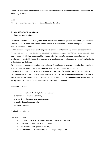Cada clase debe tener una duración de 3 horas, aproximadamente. El seminario tendrá una duración de entre 12 y 15 horas.

# Cupo

Mínimo 10 alumnos. Máximo en función del tamaño del salón

# 3. GIMNASIA POSTURAL GLOBAL

# Docente: Natalia López

La Gimnasia Postural Global (GPG) consiste en una serie de ejercicios que derivan del RPG (Reeducación Postural Global, método científico de terapia manual que asumiendo al cuerpo como globalidad trabaja sobre el sistema locomotor.)

La GPG se realiza en posiciones estáticas pero activas que permiten la elongación de las cadenas fibromusculares, incluyendo las fascias. Las fascias son tejidos que agrupan y dan forma a estas cadenas y que debido a una infinidad de causas posibles (vicios posturales, sedentarismo, acortamiento muscular producido por la actividad deportiva, lesiones, etc.) pueden retraerse, afectando la alineación y limitando la libertad de movimiento.

Otros trabajos corporales enfocados hacia la elongación actúan generalmente sólo sobre los músculos y articulaciones, encontrando en el acortamiento de las fascias un límite infranqueable.

El objetivo de las clases es enseñar a los asistentes las posturas básicas y las específicas para cada caso, permitiendo que, al finalizar el taller, cada uno pueda practicarlo de manera independiente. Este tipo de gimnasia se realiza intensamente en sesiones de no más de 20 minutos. También por esto es un ejercicio ideal para ser realizado a diario, brindando efectos rápidos y profundos.

# Beneficios de la GPG

- recuperación de la elasticidad y la fuerza muscular,
- alineación de la columna vertebral,  $\sim$
- prevención de dolores y lesiones articulares,
- armonización del tono muscular,
- conciencia corporal.

# En el taller se trabajará:

de manera práctica:

- o movilizando las articulaciones y preparándose para las posturas,
- o tomando conciencia del estado del cuerpo,
- o realizando las auto-posturas de GPG,
- o observando a los compañeros para una mejor comprensión.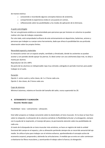de manera teórica:

- o conociendo o recordando algunos conceptos básicos de anatomía,
- o compartiendo la experiencia vivida en una puesta en común,
- o reflexionando sobre las posibilidades y los modos de aplicación de la Gimnasia.

#### A quién está dirigido

Por ser una gimnasia estática es recomendada para personas que por lesiones en columna no puedan realizar otro tipo de trabajos corporales.

Por otro lado, está comprobada la eficacia de este entrenamiento en deportistas, bailarines, actores y personas que trabajen su cuerpo como herramienta, dado que ofrece la posibilidad de una profunda observación sobre los propios límites.

#### Necesidad espacial y materiales

Es necesario contar con un espacio amplio, ventilado y climatizado, donde los asistentes se puedan acostar y con paredes donde apoyar las piernas. Es ideal contar con una colchoneta (tipo mat, no alta) o manta por alumno.

Reproductor de CD o MP3.

De parte de los alumnos es indispensable ropa muy cómoda y abrigada en período invernal, para poder trabajar en el suelo.

#### Duración

Opción 1: entre cuatro y ocho clases, de 1 a 2 horas cada una.

Opción 2: dos clases, de 3 horas cada una.

Cupo de alumnos

Mínimo 6 alumnos, máximo en función del tamaño del salón, nunca superando los 20.

# 4. ESTIRAMIENTO Y ALINEACIÓN **Docente: Natalia López**

Flexibilidad - tono - estiramiento - alineación.

Este taller propone un trabajo consciente sobre la elasticidad y el tono muscular. En la clase se hace foco sobre la relajación, la alineación de la columna vertebral, la flexibilidad articular y la elongación, siempre con la ayuda de la respiración, el manejo del peso y la permanente atención sobre las posibilidades de cada uno.

A través de la búsqueda de un tono muscular más armónico, se hace un registro de toda la unidad funcional del cuerpo en el espacio, y de su alineación partiendo siempre de un recorrido sensorial del eje medio. Se utiliza el piso para trabajar con el mínimo esfuerzo, aprehendiendo el concepto activo de economía corporal, preparando y abriendo las articulaciones. A medida que se entra en calor comienzan a elastizarse las fibras musculares, y acentuando el trabajo sobre la fuerza y la elongación.